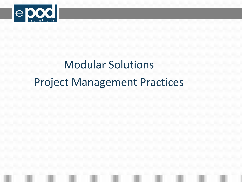

# Modular Solutions Project Management Practices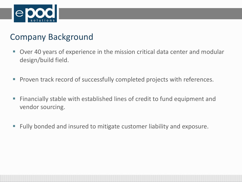

#### Company Background

- Over 40 years of experience in the mission critical data center and modular design/build field.
- **Proven track record of successfully completed projects with references.**
- Financially stable with established lines of credit to fund equipment and vendor sourcing.
- Fully bonded and insured to mitigate customer liability and exposure.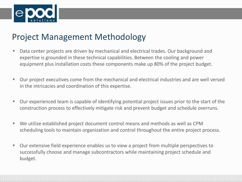

### Project Management Methodology

- Data center projects are driven by mechanical and electrical trades. Our background and expertise is grounded in these technical capabilities. Between the cooling and power equipment plus installation costs these components make up 80% of the project budget.
- Our project executives come from the mechanical and electrical industries and are well versed in the intricacies and coordination of this expertise.
- Our experienced team is capable of identifying potential project issues prior to the start of the construction process to effectively mitigate risk and prevent budget and schedule overruns.
- We utilize established project document control means and methods as well as CPM scheduling tools to maintain organization and control throughout the entire project process.
- Our extensive field experience enables us to view a project from multiple perspectives to successfully choose and manage subcontractors while maintaining project schedule and budget.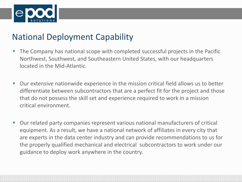

### National Deployment Capability

- The Company has national scope with completed successful projects in the Pacific Northwest, Southwest, and Southeastern United States, with our headquarters located in the Mid-Atlantic.
- Our extensive nationwide experience in the mission critical field allows us to better differentiate between subcontractors that are a perfect fit for the project and those that do not possess the skill set and experience required to work in a mission critical environment.
- Our related party companies represent various national manufacturers of critical equipment. As a result, we have a national network of affiliates in every city that are experts in the data center industry and can provide recommendations to us for the properly qualified mechanical and electrical subcontractors to work under our guidance to deploy work anywhere in the country.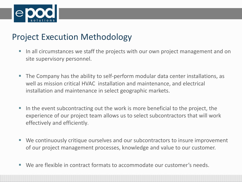

## Project Execution Methodology

- In all circumstances we staff the projects with our own project management and on site supervisory personnel.
- The Company has the ability to self-perform modular data center installations, as well as mission critical HVAC installation and maintenance, and electrical installation and maintenance in select geographic markets.
- In the event subcontracting out the work is more beneficial to the project, the experience of our project team allows us to select subcontractors that will work effectively and efficiently.
- We continuously critique ourselves and our subcontractors to insure improvement of our project management processes, knowledge and value to our customer.
- We are flexible in contract formats to accommodate our customer's needs.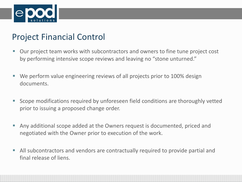

## Project Financial Control

- Our project team works with subcontractors and owners to fine tune project cost by performing intensive scope reviews and leaving no "stone unturned."
- We perform value engineering reviews of all projects prior to 100% design documents.
- Scope modifications required by unforeseen field conditions are thoroughly vetted prior to issuing a proposed change order.
- Any additional scope added at the Owners request is documented, priced and negotiated with the Owner prior to execution of the work.
- All subcontractors and vendors are contractually required to provide partial and final release of liens.